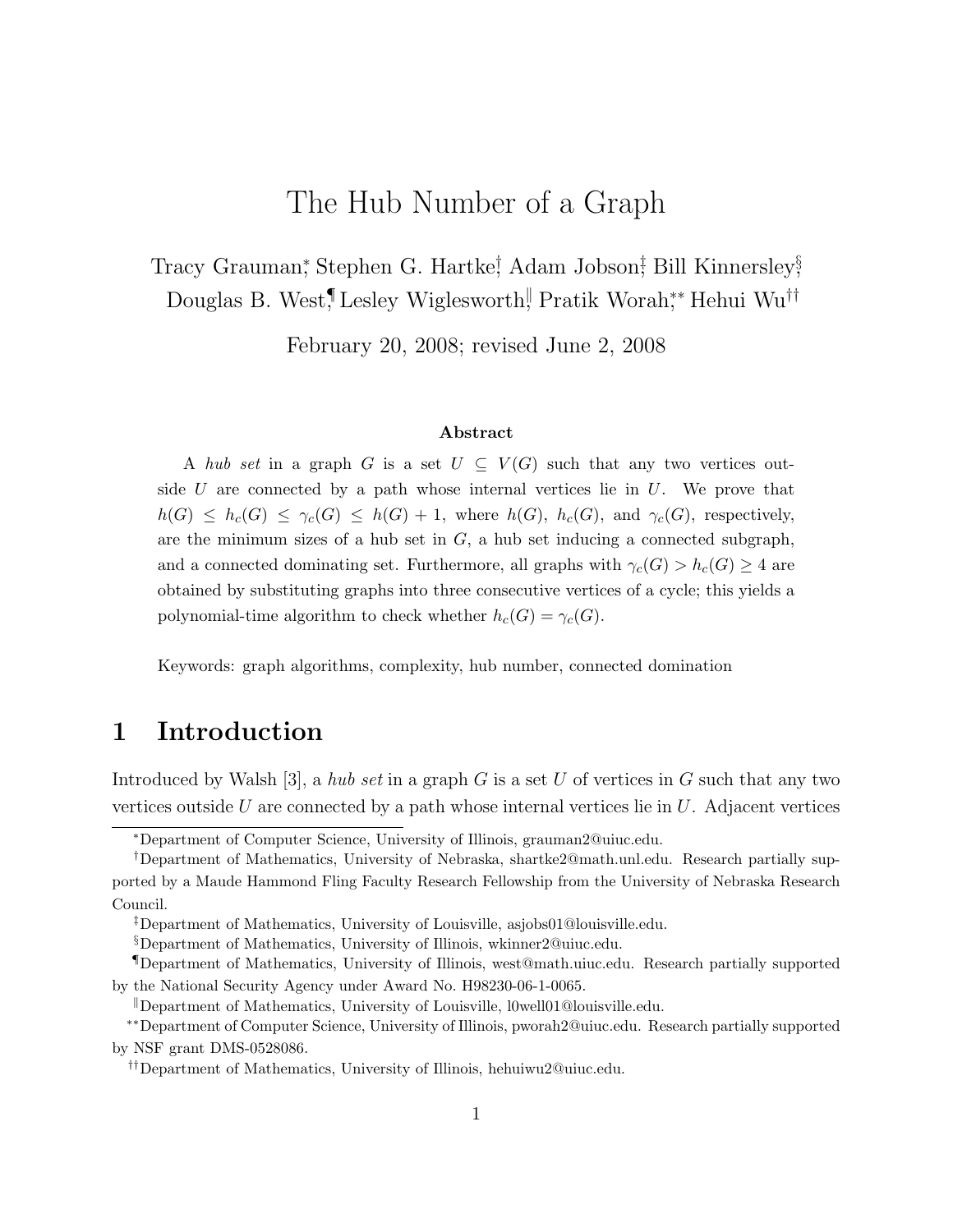# The Hub Number of a Graph

Tracy Grauman,<sup>\*</sup> Stephen G. Hartke<sup>†</sup>, Adam Jobson<sup>†</sup>, Bill Kinnersley<sup>§</sup>, Douglas B. West,¶Lesley Wiglesworth, Pratik Worah,\*\* Hehui Wu<sup>††</sup>

February 20, 2008; revised June 2, 2008

#### Abstract

A hub set in a graph G is a set  $U \subseteq V(G)$  such that any two vertices outside  $U$  are connected by a path whose internal vertices lie in  $U$ . We prove that  $h(G) \leq h_c(G) \leq \gamma_c(G) \leq h(G) + 1$ , where  $h(G)$ ,  $h_c(G)$ , and  $\gamma_c(G)$ , respectively, are the minimum sizes of a hub set in  $G$ , a hub set inducing a connected subgraph, and a connected dominating set. Furthermore, all graphs with  $\gamma_c(G) > h_c(G) \geq 4$  are obtained by substituting graphs into three consecutive vertices of a cycle; this yields a polynomial-time algorithm to check whether  $h_c(G) = \gamma_c(G)$ .

Keywords: graph algorithms, complexity, hub number, connected domination

### 1 Introduction

Introduced by Walsh [3], a hub set in a graph G is a set U of vertices in G such that any two vertices outside U are connected by a path whose internal vertices lie in  $U$ . Adjacent vertices

<sup>∗</sup>Department of Computer Science, University of Illinois, grauman2@uiuc.edu.

<sup>†</sup>Department of Mathematics, University of Nebraska, shartke2@math.unl.edu. Research partially supported by a Maude Hammond Fling Faculty Research Fellowship from the University of Nebraska Research Council.

<sup>‡</sup>Department of Mathematics, University of Louisville, asjobs01@louisville.edu.

<sup>§</sup>Department of Mathematics, University of Illinois, wkinner2@uiuc.edu.

<sup>¶</sup>Department of Mathematics, University of Illinois, west@math.uiuc.edu. Research partially supported by the National Security Agency under Award No. H98230-06-1-0065.

Department of Mathematics, University of Louisville,  $l0$ well01@louisville.edu.

<sup>∗∗</sup>Department of Computer Science, University of Illinois, pworah2@uiuc.edu. Research partially supported by NSF grant DMS-0528086.

<sup>††</sup>Department of Mathematics, University of Illinois, hehuiwu2@uiuc.edu.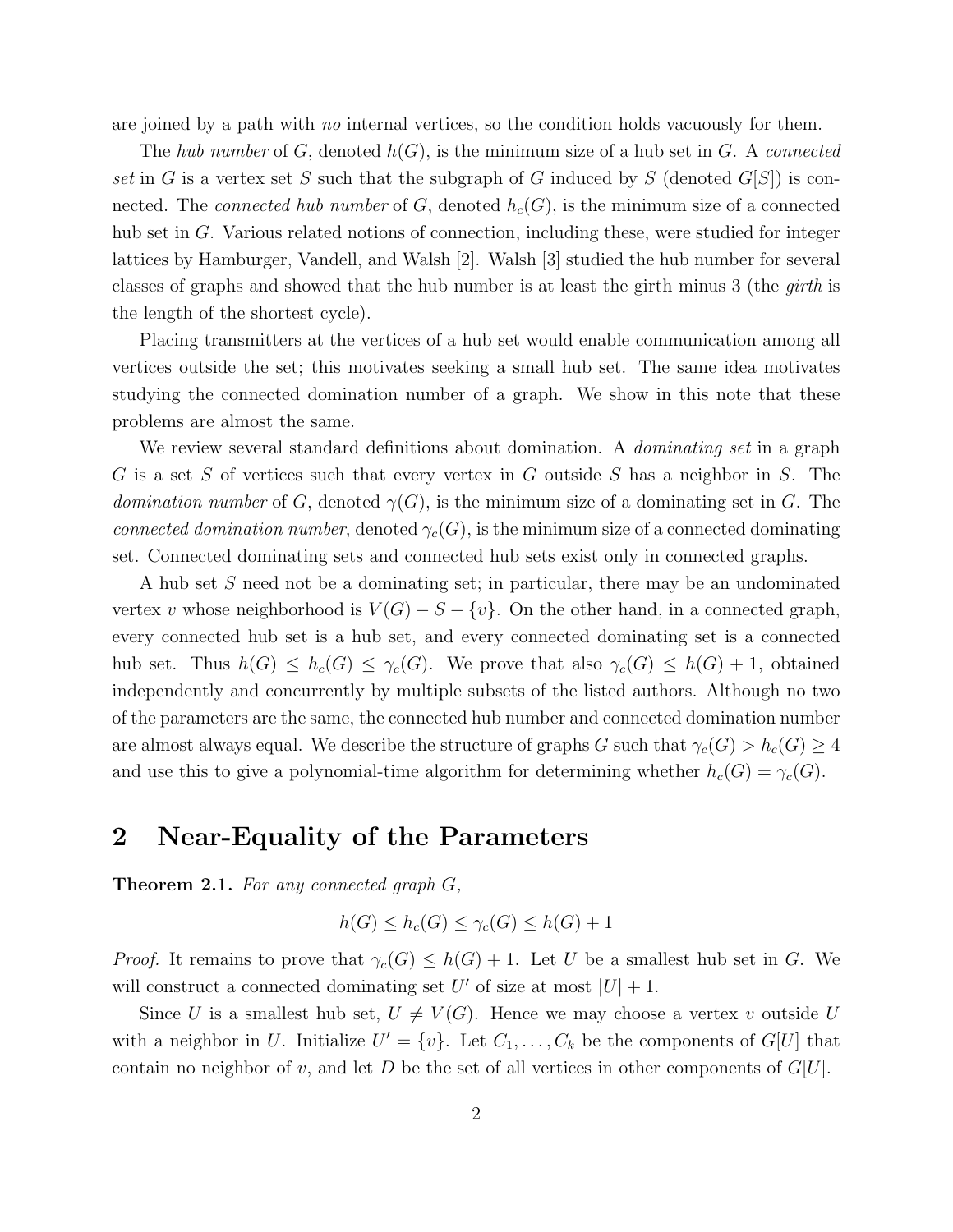are joined by a path with no internal vertices, so the condition holds vacuously for them.

The hub number of G, denoted  $h(G)$ , is the minimum size of a hub set in G. A connected set in G is a vertex set S such that the subgraph of G induced by S (denoted  $G[S]$ ) is connected. The *connected hub number* of G, denoted  $h_c(G)$ , is the minimum size of a connected hub set in G. Various related notions of connection, including these, were studied for integer lattices by Hamburger, Vandell, and Walsh [2]. Walsh [3] studied the hub number for several classes of graphs and showed that the hub number is at least the girth minus 3 (the girth is the length of the shortest cycle).

Placing transmitters at the vertices of a hub set would enable communication among all vertices outside the set; this motivates seeking a small hub set. The same idea motivates studying the connected domination number of a graph. We show in this note that these problems are almost the same.

We review several standard definitions about domination. A *dominating set* in a graph G is a set S of vertices such that every vertex in G outside S has a neighbor in S. The *domination number* of G, denoted  $\gamma(G)$ , is the minimum size of a dominating set in G. The connected domination number, denoted  $\gamma_c(G)$ , is the minimum size of a connected dominating set. Connected dominating sets and connected hub sets exist only in connected graphs.

A hub set S need not be a dominating set; in particular, there may be an undominated vertex v whose neighborhood is  $V(G) - S - \{v\}$ . On the other hand, in a connected graph, every connected hub set is a hub set, and every connected dominating set is a connected hub set. Thus  $h(G) \leq h_c(G) \leq \gamma_c(G)$ . We prove that also  $\gamma_c(G) \leq h(G) + 1$ , obtained independently and concurrently by multiple subsets of the listed authors. Although no two of the parameters are the same, the connected hub number and connected domination number are almost always equal. We describe the structure of graphs G such that  $\gamma_c(G) > h_c(G) \geq 4$ and use this to give a polynomial-time algorithm for determining whether  $h_c(G) = \gamma_c(G)$ .

#### 2 Near-Equality of the Parameters

Theorem 2.1. For any connected graph G,

$$
h(G) \le h_c(G) \le \gamma_c(G) \le h(G) + 1
$$

*Proof.* It remains to prove that  $\gamma_c(G) \leq h(G) + 1$ . Let U be a smallest hub set in G. We will construct a connected dominating set U' of size at most  $|U| + 1$ .

Since U is a smallest hub set,  $U \neq V(G)$ . Hence we may choose a vertex v outside U with a neighbor in U. Initialize  $U' = \{v\}$ . Let  $C_1, \ldots, C_k$  be the components of  $G[U]$  that contain no neighbor of v, and let  $D$  be the set of all vertices in other components of  $G[U]$ .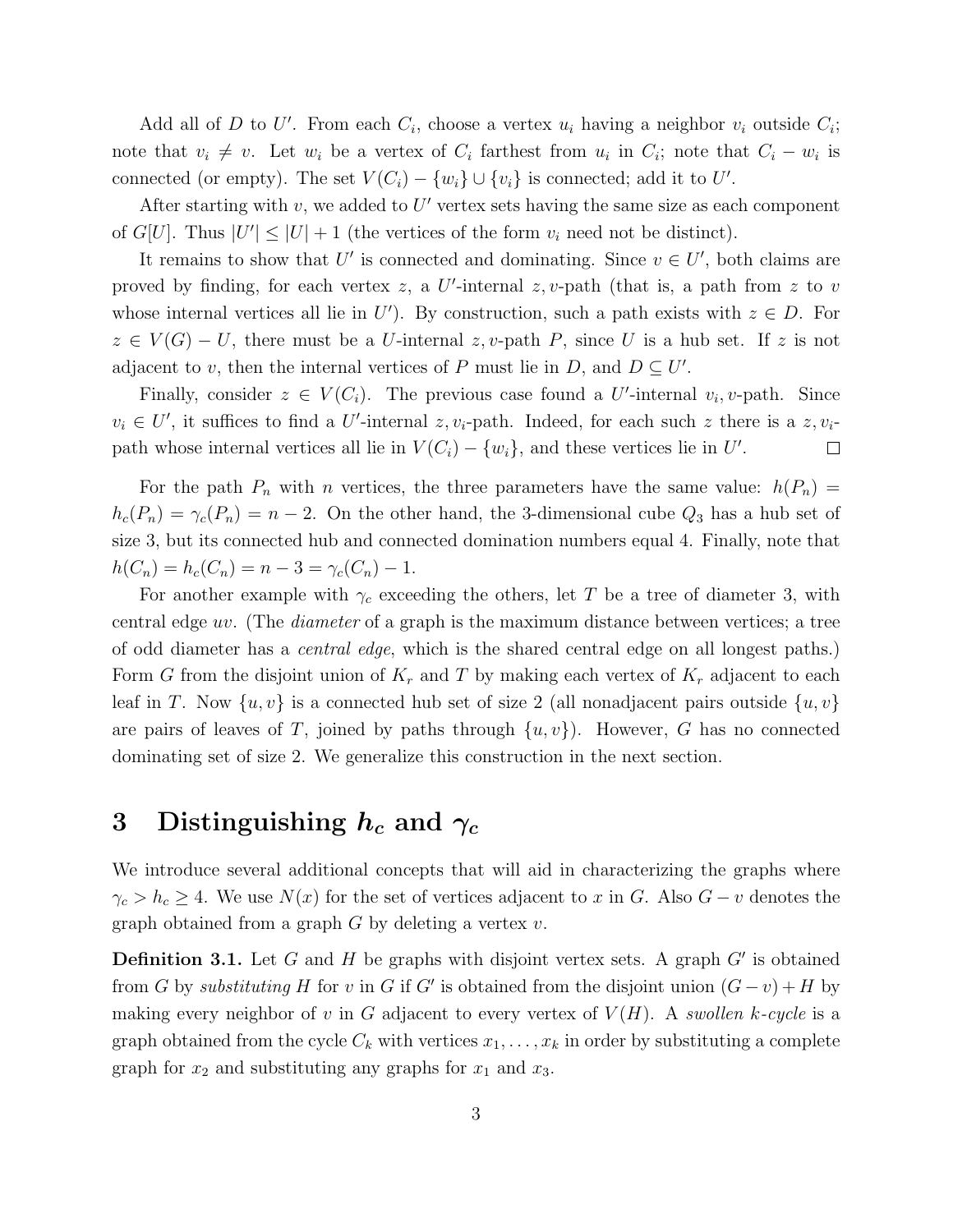Add all of D to U'. From each  $C_i$ , choose a vertex  $u_i$  having a neighbor  $v_i$  outside  $C_i$ ; note that  $v_i \neq v$ . Let  $w_i$  be a vertex of  $C_i$  farthest from  $u_i$  in  $C_i$ ; note that  $C_i - w_i$  is connected (or empty). The set  $V(C_i) - \{w_i\} \cup \{v_i\}$  is connected; add it to U'.

After starting with  $v$ , we added to  $U'$  vertex sets having the same size as each component of  $G[U]$ . Thus  $|U'| \leq |U| + 1$  (the vertices of the form  $v_i$  need not be distinct).

It remains to show that U' is connected and dominating. Since  $v \in U'$ , both claims are proved by finding, for each vertex  $z$ , a U'-internal  $z$ , v-path (that is, a path from  $z$  to  $v$ whose internal vertices all lie in U'). By construction, such a path exists with  $z \in D$ . For  $z \in V(G) - U$ , there must be a U-internal z, v-path P, since U is a hub set. If z is not adjacent to v, then the internal vertices of P must lie in D, and  $D \subseteq U'$ .

Finally, consider  $z \in V(C_i)$ . The previous case found a U'-internal  $v_i, v$ -path. Since  $v_i \in U'$ , it suffices to find a U'-internal z,  $v_i$ -path. Indeed, for each such z there is a z,  $v_i$ path whose internal vertices all lie in  $V(C_i) - \{w_i\}$ , and these vertices lie in U'.  $\Box$ 

For the path  $P_n$  with n vertices, the three parameters have the same value:  $h(P_n)$  =  $h_c(P_n) = \gamma_c(P_n) = n - 2$ . On the other hand, the 3-dimensional cube  $Q_3$  has a hub set of size 3, but its connected hub and connected domination numbers equal 4. Finally, note that  $h(C_n) = h_c(C_n) = n - 3 = \gamma_c(C_n) - 1.$ 

For another example with  $\gamma_c$  exceeding the others, let T be a tree of diameter 3, with central edge uv. (The diameter of a graph is the maximum distance between vertices; a tree of odd diameter has a central edge, which is the shared central edge on all longest paths.) Form G from the disjoint union of  $K_r$  and T by making each vertex of  $K_r$  adjacent to each leaf in T. Now  $\{u, v\}$  is a connected hub set of size 2 (all nonadjacent pairs outside  $\{u, v\}$ are pairs of leaves of T, joined by paths through  $\{u, v\}$ . However, G has no connected dominating set of size 2. We generalize this construction in the next section.

### 3 Distinguishing  $h_c$  and  $\gamma_c$

We introduce several additional concepts that will aid in characterizing the graphs where  $\gamma_c > h_c \geq 4$ . We use  $N(x)$  for the set of vertices adjacent to x in G. Also  $G - v$  denotes the graph obtained from a graph  $G$  by deleting a vertex  $v$ .

**Definition 3.1.** Let  $G$  and  $H$  be graphs with disjoint vertex sets. A graph  $G'$  is obtained from G by substituting H for v in G if G' is obtained from the disjoint union  $(G - v) + H$  by making every neighbor of v in G adjacent to every vertex of  $V(H)$ . A swollen k-cycle is a graph obtained from the cycle  $C_k$  with vertices  $x_1, \ldots, x_k$  in order by substituting a complete graph for  $x_2$  and substituting any graphs for  $x_1$  and  $x_3$ .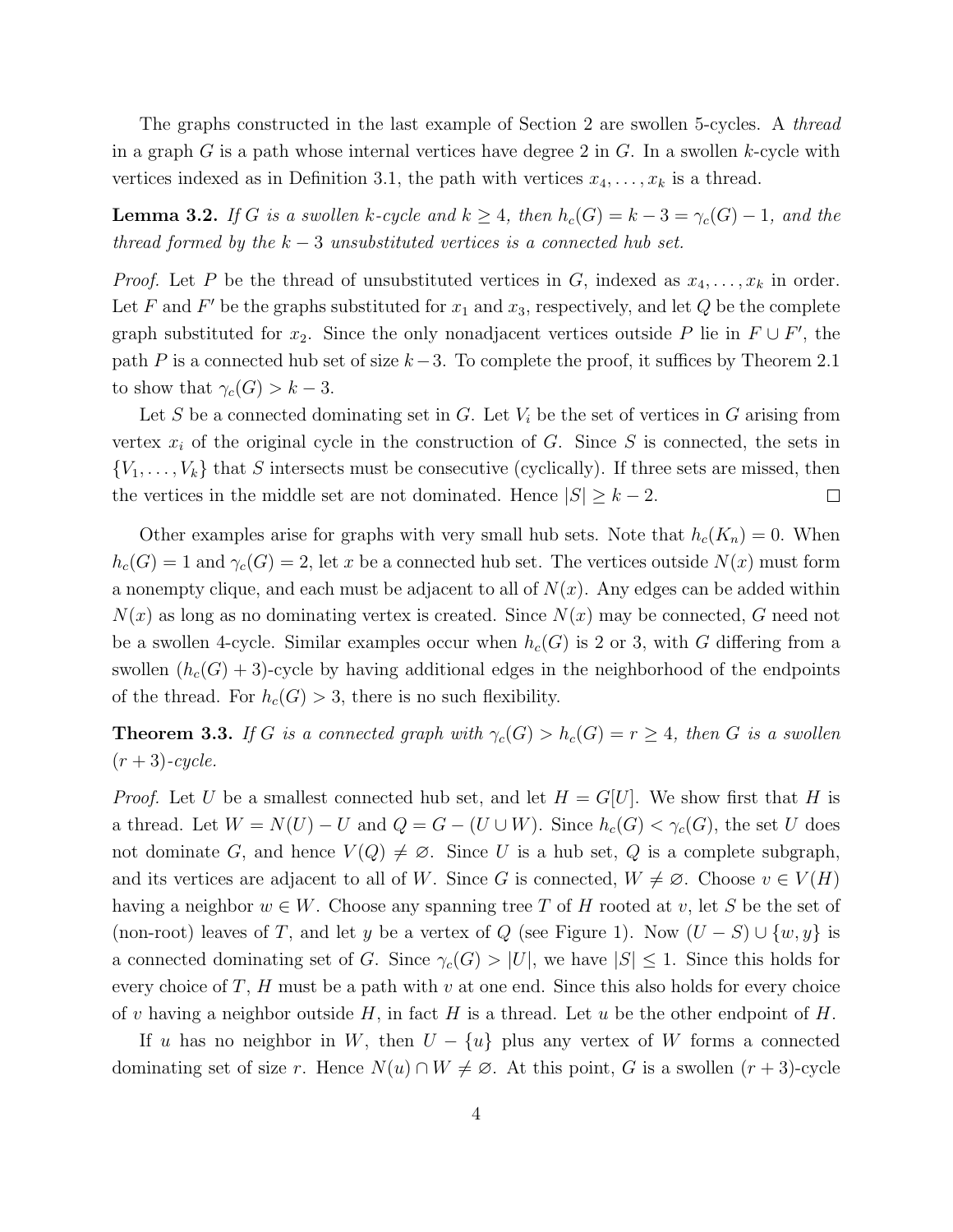The graphs constructed in the last example of Section 2 are swollen 5-cycles. A *thread* in a graph G is a path whose internal vertices have degree 2 in G. In a swollen k-cycle with vertices indexed as in Definition 3.1, the path with vertices  $x_4, \ldots, x_k$  is a thread.

**Lemma 3.2.** If G is a swollen k-cycle and  $k \geq 4$ , then  $h_c(G) = k - 3 = \gamma_c(G) - 1$ , and the thread formed by the  $k-3$  unsubstituted vertices is a connected hub set.

*Proof.* Let P be the thread of unsubstituted vertices in G, indexed as  $x_4, \ldots, x_k$  in order. Let F and F' be the graphs substituted for  $x_1$  and  $x_3$ , respectively, and let Q be the complete graph substituted for  $x_2$ . Since the only nonadjacent vertices outside P lie in  $F \cup F'$ , the path P is a connected hub set of size  $k-3$ . To complete the proof, it suffices by Theorem 2.1 to show that  $\gamma_c(G) > k-3$ .

Let S be a connected dominating set in G. Let  $V_i$  be the set of vertices in G arising from vertex  $x_i$  of the original cycle in the construction of G. Since S is connected, the sets in  ${V_1, \ldots, V_k}$  that S intersects must be consecutive (cyclically). If three sets are missed, then the vertices in the middle set are not dominated. Hence  $|S| \geq k - 2$ .  $\Box$ 

Other examples arise for graphs with very small hub sets. Note that  $h_c(K_n) = 0$ . When  $h_c(G) = 1$  and  $\gamma_c(G) = 2$ , let x be a connected hub set. The vertices outside  $N(x)$  must form a nonempty clique, and each must be adjacent to all of  $N(x)$ . Any edges can be added within  $N(x)$  as long as no dominating vertex is created. Since  $N(x)$  may be connected, G need not be a swollen 4-cycle. Similar examples occur when  $h_c(G)$  is 2 or 3, with G differing from a swollen  $(h_c(G) + 3)$ -cycle by having additional edges in the neighborhood of the endpoints of the thread. For  $h_c(G) > 3$ , there is no such flexibility.

**Theorem 3.3.** If G is a connected graph with  $\gamma_c(G) > h_c(G) = r \geq 4$ , then G is a swollen  $(r+3)$ -cycle.

*Proof.* Let U be a smallest connected hub set, and let  $H = G[U]$ . We show first that H is a thread. Let  $W = N(U) - U$  and  $Q = G - (U \cup W)$ . Since  $h_c(G) < \gamma_c(G)$ , the set U does not dominate G, and hence  $V(Q) \neq \emptyset$ . Since U is a hub set, Q is a complete subgraph, and its vertices are adjacent to all of W. Since G is connected,  $W \neq \emptyset$ . Choose  $v \in V(H)$ having a neighbor  $w \in W$ . Choose any spanning tree T of H rooted at v, let S be the set of (non-root) leaves of T, and let y be a vertex of Q (see Figure 1). Now  $(U - S) \cup \{w, y\}$  is a connected dominating set of G. Since  $\gamma_c(G) > |U|$ , we have  $|S| \leq 1$ . Since this holds for every choice of  $T$ ,  $H$  must be a path with  $v$  at one end. Since this also holds for every choice of v having a neighbor outside H, in fact H is a thread. Let u be the other endpoint of H.

If u has no neighbor in W, then  $U - \{u\}$  plus any vertex of W forms a connected dominating set of size r. Hence  $N(u) \cap W \neq \emptyset$ . At this point, G is a swollen  $(r + 3)$ -cycle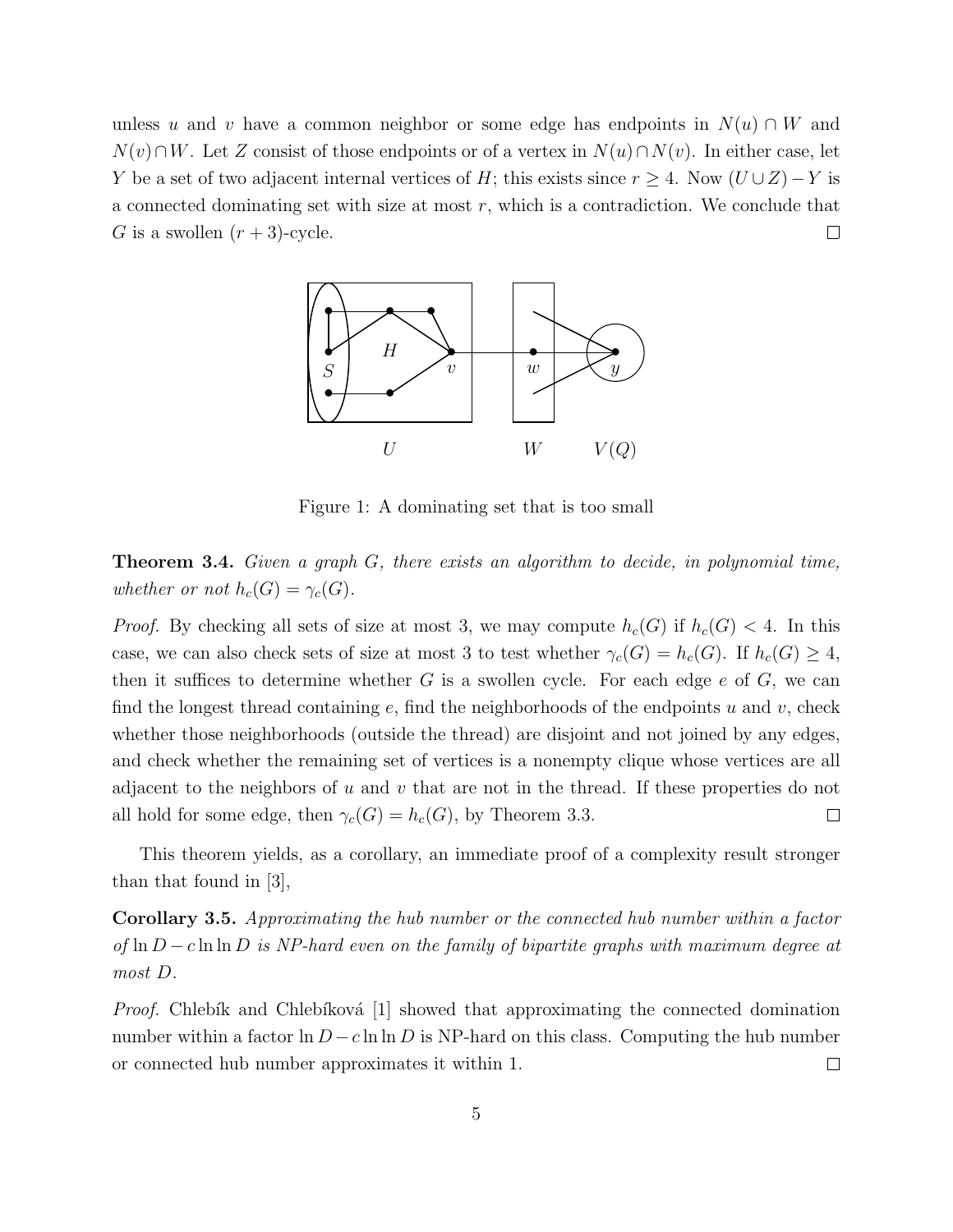unless u and v have a common neighbor or some edge has endpoints in  $N(u) \cap W$  and  $N(v) \cap W$ . Let Z consist of those endpoints or of a vertex in  $N(u) \cap N(v)$ . In either case, let Y be a set of two adjacent internal vertices of H; this exists since  $r \geq 4$ . Now  $(U \cup Z) - Y$  is a connected dominating set with size at most  $r$ , which is a contradiction. We conclude that G is a swollen  $(r+3)$ -cycle.  $\Box$ 



Figure 1: A dominating set that is too small

**Theorem 3.4.** Given a graph  $G$ , there exists an algorithm to decide, in polynomial time, whether or not  $h_c(G) = \gamma_c(G)$ .

*Proof.* By checking all sets of size at most 3, we may compute  $h_c(G)$  if  $h_c(G) < 4$ . In this case, we can also check sets of size at most 3 to test whether  $\gamma_c(G) = h_c(G)$ . If  $h_c(G) \geq 4$ , then it suffices to determine whether G is a swollen cycle. For each edge  $e$  of G, we can find the longest thread containing  $e$ , find the neighborhoods of the endpoints u and v, check whether those neighborhoods (outside the thread) are disjoint and not joined by any edges, and check whether the remaining set of vertices is a nonempty clique whose vertices are all adjacent to the neighbors of u and v that are not in the thread. If these properties do not all hold for some edge, then  $\gamma_c(G) = h_c(G)$ , by Theorem 3.3.  $\Box$ 

This theorem yields, as a corollary, an immediate proof of a complexity result stronger than that found in [3],

Corollary 3.5. Approximating the hub number or the connected hub number within a factor of ln  $D - c \ln \ln D$  is NP-hard even on the family of bipartite graphs with maximum degree at most D.

*Proof.* Chlebík and Chlebíková  $\lceil 1 \rceil$  showed that approximating the connected domination number within a factor  $\ln D - c \ln \ln D$  is NP-hard on this class. Computing the hub number or connected hub number approximates it within 1.  $\Box$